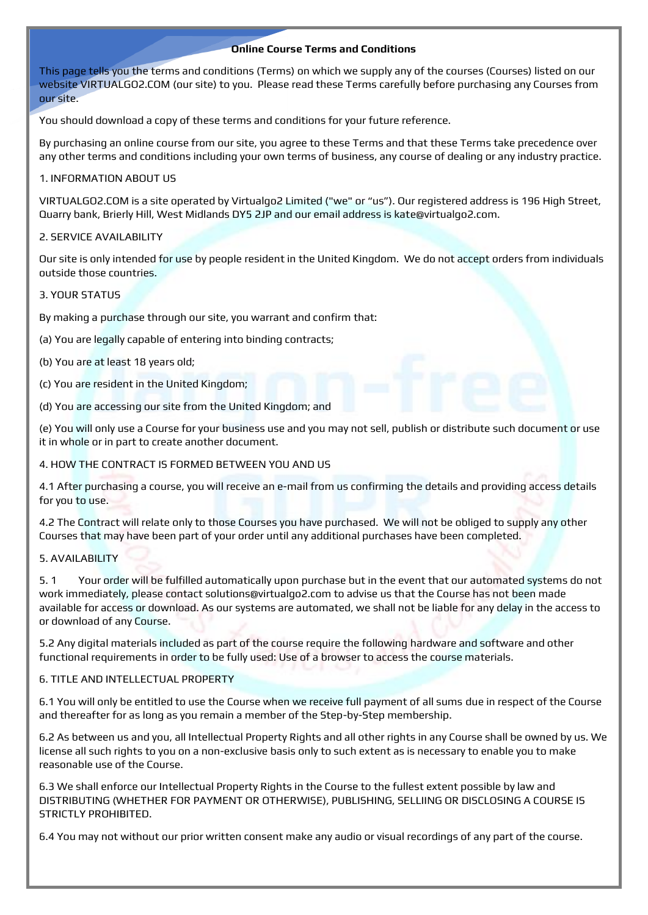# **Online Course Terms and Conditions**

This page tells you the terms and conditions (Terms) on which we supply any of the courses (Courses) listed on our website VIRTUALGO2.COM (our site) to you. Please read these Terms carefully before purchasing any Courses from our site.

You should download a copy of these terms and conditions for your future reference.

By purchasing an online course from our site, you agree to these Terms and that these Terms take precedence over any other terms and conditions including your own terms of business, any course of dealing or any industry practice.

## 1. INFORMATION ABOUT US

VIRTUALGO2.COM is a site operated by Virtualgo2 Limited ("we" or "us"). Our registered address is 196 High Street, Quarry bank, Brierly Hill, West Midlands DY5 2JP and our email address is kate@virtualgo2.com.

## 2. SERVICE AVAILABILITY

Our site is only intended for use by people resident in the United Kingdom. We do not accept orders from individuals outside those countries.

### 3. YOUR STATUS

By making a purchase through our site, you warrant and confirm that:

- (a) You are legally capable of entering into binding contracts;
- (b) You are at least 18 years old;
- (c) You are resident in the United Kingdom;
- (d) You are accessing our site from the United Kingdom; and

(e) You will only use a Course for your business use and you may not sell, publish or distribute such document or use it in whole or in part to create another document.

4. HOW THE CONTRACT IS FORMED BETWEEN YOU AND US

4.1 After purchasing a course, you will receive an e-mail from us confirming the details and providing access details for you to use.

4.2 The Contract will relate only to those Courses you have purchased. We will not be obliged to supply any other Courses that may have been part of your order until any additional purchases have been completed.

## 5. AVAILABILITY

5. 1 Your order will be fulfilled automatically upon purchase but in the event that our automated systems do not work immediately, please contact solutions@virtualgo2.com to advise us that the Course has not been made available for access or download. As our systems are automated, we shall not be liable for any delay in the access to or download of any Course.

5.2 Any digital materials included as part of the course require the following hardware and software and other functional requirements in order to be fully used: Use of a browser to access the course materials.

#### 6. TITLE AND INTELLECTUAL PROPERTY

6.1 You will only be entitled to use the Course when we receive full payment of all sums due in respect of the Course and thereafter for as long as you remain a member of the Step-by-Step membership.

6.2 As between us and you, all Intellectual Property Rights and all other rights in any Course shall be owned by us. We license all such rights to you on a non-exclusive basis only to such extent as is necessary to enable you to make reasonable use of the Course.

6.3 We shall enforce our Intellectual Property Rights in the Course to the fullest extent possible by law and DISTRIBUTING (WHETHER FOR PAYMENT OR OTHERWISE), PUBLISHING, SELLIING OR DISCLOSING A COURSE IS STRICTLY PROHIBITED.

6.4 You may not without our prior written consent make any audio or visual recordings of any part of the course.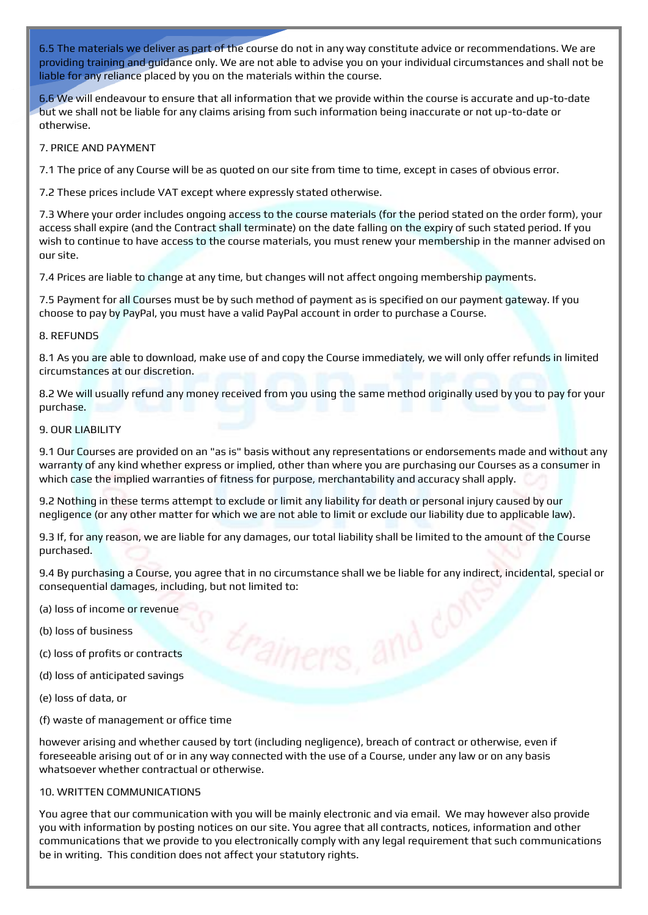6.5 The materials we deliver as part of the course do not in any way constitute advice or recommendations. We are providing training and guidance only. We are not able to advise you on your individual circumstances and shall not be liable for any reliance placed by you on the materials within the course.

6.6 We will endeavour to ensure that all information that we provide within the course is accurate and up-to-date but we shall not be liable for any claims arising from such information being inaccurate or not up-to-date or otherwise.

## 7. PRICE AND PAYMENT

7.1 The price of any Course will be as quoted on our site from time to time, except in cases of obvious error.

7.2 These prices include VAT except where expressly stated otherwise.

7.3 Where your order includes ongoing access to the course materials (for the period stated on the order form), your access shall expire (and the Contract shall terminate) on the date falling on the expiry of such stated period. If you wish to continue to have access to the course materials, you must renew your membership in the manner advised on our site.

7.4 Prices are liable to change at any time, but changes will not affect ongoing membership payments.

7.5 Payment for all Courses must be by such method of payment as is specified on our payment gateway. If you choose to pay by PayPal, you must have a valid PayPal account in order to purchase a Course.

### 8. REFUNDS

8.1 As you are able to download, make use of and copy the Course immediately, we will only offer refunds in limited circumstances at our discretion.

8.2 We will usually refund any money received from you using the same method originally used by you to pay for your purchase.

### 9. OUR LIABILITY

9.1 Our Courses are provided on an "as is" basis without any representations or endorsements made and without any warranty of any kind whether express or implied, other than where you are purchasing our Courses as a consumer in which case the implied warranties of fitness for purpose, merchantability and accuracy shall apply.

9.2 Nothing in these terms attempt to exclude or limit any liability for death or personal injury caused by our negligence (or any other matter for which we are not able to limit or exclude our liability due to applicable law).

9.3 If, for any reason, we are liable for any damages, our total liability shall be limited to the amount of the Course purchased.

9.4 By purchasing a Course, you agree that in no circumstance shall we be liable for any indirect, incidental, special or consequential damages, including, but not limited to:

- (a) loss of income or revenue
- (b) loss of business
- (c) loss of profits or contracts
- (d) loss of anticipated savings
- (e) loss of data, or
- (f) waste of management or office time

however arising and whether caused by tort (including negligence), breach of contract or otherwise, even if foreseeable arising out of or in any way connected with the use of a Course, under any law or on any basis whatsoever whether contractual or otherwise.

### 10. WRITTEN COMMUNICATIONS

You agree that our communication with you will be mainly electronic and via email. We may however also provide you with information by posting notices on our site. You agree that all contracts, notices, information and other communications that we provide to you electronically comply with any legal requirement that such communications be in writing. This condition does not affect your statutory rights.